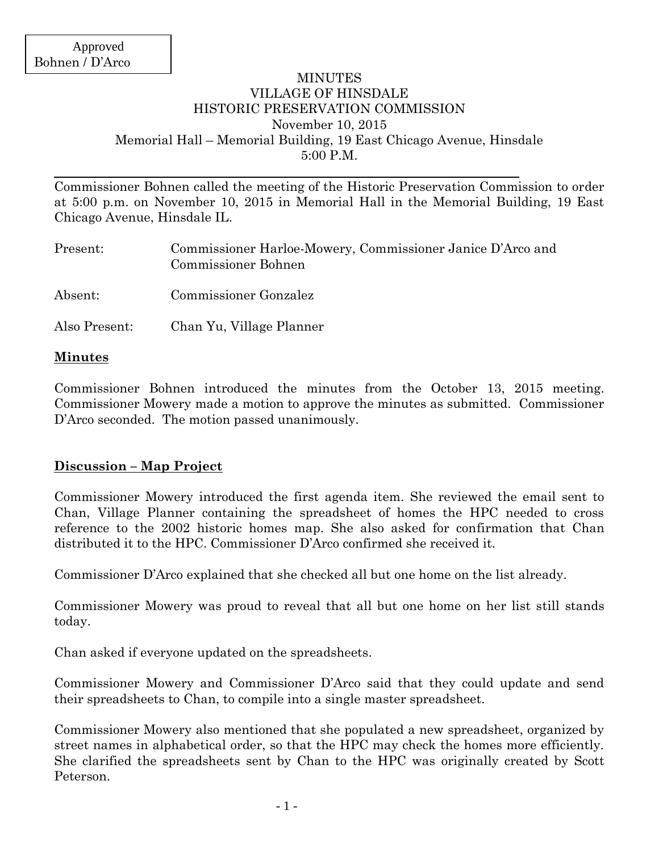### MINUTES VILLAGE OF HINSDALE HISTORIC PRESERVATION COMMISSION November 10, 2015 Memorial Hall – Memorial Building, 19 East Chicago Avenue, Hinsdale 5:00 P.M.

Commissioner Bohnen called the meeting of the Historic Preservation Commission to order at 5:00 p.m. on November 10, 2015 in Memorial Hall in the Memorial Building, 19 East Chicago Avenue, Hinsdale IL.

| Present:      | Commissioner Harloe-Mowery, Commissioner Janice D'Arco and<br><b>Commissioner Bohnen</b> |
|---------------|------------------------------------------------------------------------------------------|
| Absent:       | Commissioner Gonzalez                                                                    |
| Also Present: | Chan Yu, Village Planner                                                                 |

### **Minutes**

Commissioner Bohnen introduced the minutes from the October 13, 2015 meeting. Commissioner Mowery made a motion to approve the minutes as submitted. Commissioner D'Arco seconded. The motion passed unanimously.

## **Discussion – Map Project**

Commissioner Mowery introduced the first agenda item. She reviewed the email sent to Chan, Village Planner containing the spreadsheet of homes the HPC needed to cross reference to the 2002 historic homes map. She also asked for confirmation that Chan distributed it to the HPC. Commissioner D'Arco confirmed she received it.

Commissioner D'Arco explained that she checked all but one home on the list already.

Commissioner Mowery was proud to reveal that all but one home on her list still stands today.

Chan asked if everyone updated on the spreadsheets.

Commissioner Mowery and Commissioner D'Arco said that they could update and send their spreadsheets to Chan, to compile into a single master spreadsheet.

Commissioner Mowery also mentioned that she populated a new spreadsheet, organized by street names in alphabetical order, so that the HPC may check the homes more efficiently. She clarified the spreadsheets sent by Chan to the HPC was originally created by Scott Peterson.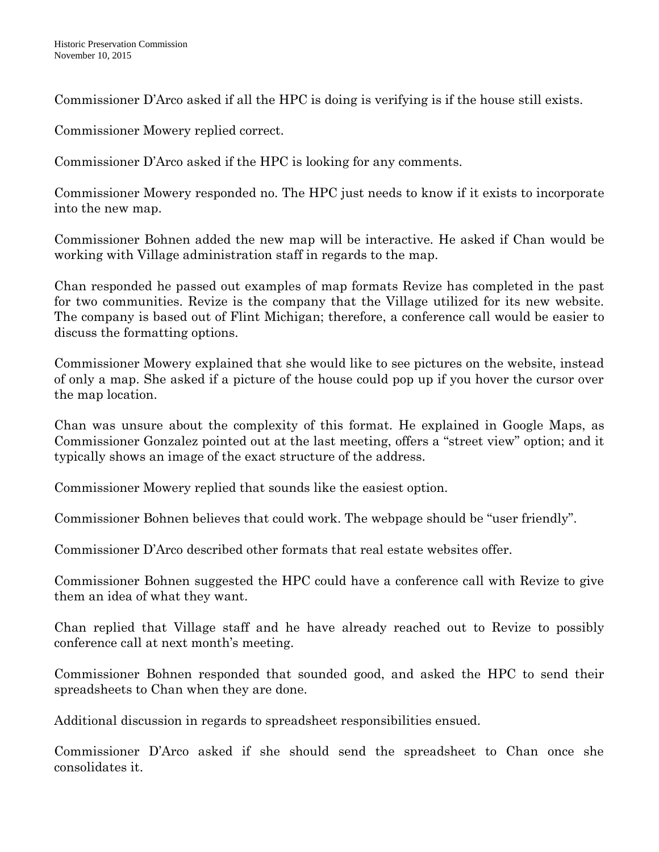Commissioner D'Arco asked if all the HPC is doing is verifying is if the house still exists.

Commissioner Mowery replied correct.

Commissioner D'Arco asked if the HPC is looking for any comments.

Commissioner Mowery responded no. The HPC just needs to know if it exists to incorporate into the new map.

Commissioner Bohnen added the new map will be interactive. He asked if Chan would be working with Village administration staff in regards to the map.

Chan responded he passed out examples of map formats Revize has completed in the past for two communities. Revize is the company that the Village utilized for its new website. The company is based out of Flint Michigan; therefore, a conference call would be easier to discuss the formatting options.

Commissioner Mowery explained that she would like to see pictures on the website, instead of only a map. She asked if a picture of the house could pop up if you hover the cursor over the map location.

Chan was unsure about the complexity of this format. He explained in Google Maps, as Commissioner Gonzalez pointed out at the last meeting, offers a "street view" option; and it typically shows an image of the exact structure of the address.

Commissioner Mowery replied that sounds like the easiest option.

Commissioner Bohnen believes that could work. The webpage should be "user friendly".

Commissioner D'Arco described other formats that real estate websites offer.

Commissioner Bohnen suggested the HPC could have a conference call with Revize to give them an idea of what they want.

Chan replied that Village staff and he have already reached out to Revize to possibly conference call at next month's meeting.

Commissioner Bohnen responded that sounded good, and asked the HPC to send their spreadsheets to Chan when they are done.

Additional discussion in regards to spreadsheet responsibilities ensued.

Commissioner D'Arco asked if she should send the spreadsheet to Chan once she consolidates it.